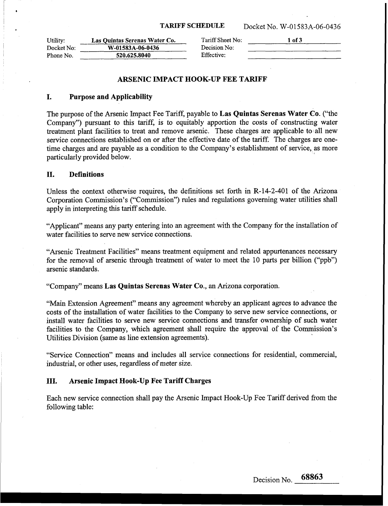| Utility:   | Las Quintas Serenas Water Co. | Tariff Sheet No: | 1 of 3 |
|------------|-------------------------------|------------------|--------|
| Docket No: | W-01583A-06-0436              | Decision No:     |        |
| Phone No.  | 520.625.8040                  | Effective:       |        |
|            |                               |                  |        |

# **ARSENIC IMPACT HOOK-UP FEE TARIFF**

## **I. Purpose and Applicability**

The purpose of the Arsenic Impact Fee Tariff, payable to **Las Quintas Serenas Water Co.** ("the Company") pursuant to this tariff, is to equitably apportion the costs of constructing water treatment plant facilities to treat and remove arsenic. These charges are applicable to all new service connections established on or after the effective date of the tariff. The charges are onetime charges and are payable **as** a condition to the Company's establishment of service, as more particularly provided below.

# **11. Definitions**

Unless the context otherwise requires, the definitions set forth in **R-14-2-401** of the Arizona Corporation Commission's ("Commission") rules and regulations governing water utilities shall apply in interpreting this tariff schedule.

"Applicant" means any party entering into an agreement with the Company for the installation of water facilities to serve new service connections.

"Arsenic Treatment Facilities" means treatment equipment and related appurtenances necessary for the removal of arsenic through treatment of water to meet the 10 parts per billion ("ppb") arsenic standards.

"Company" means **Las Quintas Serenas Water Co.,** an Arizona corporation.

"Main Extension Agreement" means any agreement whereby an applicant agrees to advance the costs of the installation of water facilities to the Company to serve new service connections, or install water facilities to serve new service connections and transfer ownership of such water facilities to the Company, which agreement shall require the approval of the Commission's Utilities Division (same as line extension agreements).

"Service Connection" means and includes all service connections for residential, commercial, industrial, or other uses, regardless of meter size.

## **111. Arsenic Impact Hook-Up Fee Tariff Charges**

Each new service connection shall pay the Arsenic Impact Hook-Up Fee Tariff derived from the following table: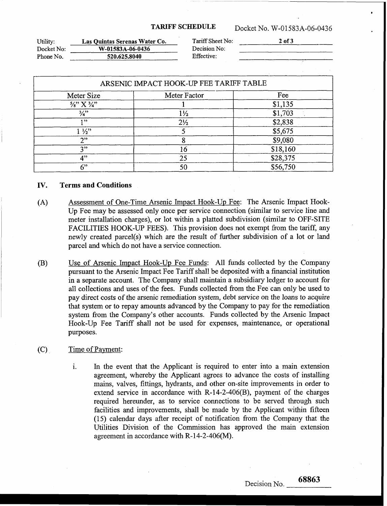**TARIFF SCHEDULE** Docket No. **W-01583A-06-0436** 

| Utility:   | Las Quintas Serenas Water Co. | Tariff Sheet No: | 2 of 3 |
|------------|-------------------------------|------------------|--------|
| Docket No: | W-01583A-06-0436              | Decision No:     |        |
| Phone No.  | 520.625.8040                  | Effective:       |        |

| Meter Size                        | Meter Factor   | Fee      |
|-----------------------------------|----------------|----------|
| $\frac{5}{8}$ " X $\frac{3}{4}$ " |                | \$1,135  |
| $\frac{3}{4}$                     | $1\frac{1}{2}$ | \$1,703  |
| 1, 22                             | $2\frac{1}{2}$ | \$2,838  |
| $1\frac{1}{2}$                    |                | \$5,675  |
| 2"                                |                | \$9,080  |
| 2"                                | 16             | \$18,160 |
| 4"                                | 25             | \$28,375 |
| 6"                                |                | \$56,750 |

### IV. **Terms and Conditions**

- Assessment of One-Time Arsenic Impact Hook-Up Fee: The Arsenic Impact Hook- $(A)$ Up Fee may be assessed only once per service connection (similar to service line and meter installation charges), or lot within a platted subdivision (similar to OFF-SITE FACILITIES HOOK-UP FEES). This provision does not exempt from the tariff, any newly created parcel(s) which are the result of further subdivision of a lot or land parcel and which do not have a service connection.
- Use of Arsenic Impact Hook-Up Fee Funds: All funds collected by the Company  $(B)$ pursuant to the Arsenic Impact Fee Tariff shall be deposited with a financial institution in a separate account. The Company shall maintain a subsidiary ledger to account for all collections and uses of the fees. Funds collected from the Fee can only be used to pay direct costs of the arsenic remediation system, debt service on the loans to acquire that system or to repay amounts advanced by the Company to pay for the remediation system from the Company's other accounts. Funds collected by the Arsenic Impact Hook-Up Fee Tariff shall not be used for expenses, maintenance, or operational purposes.

### $(C)$ Time of Payment:

i. In the event that the Applicant is required to enter into a main extension agreement, whereby the Applicant agrees to advance the costs of installing mains, valves, fittings, hydrants, and other on-site improvements in order to extend service in accordance with **R-l4-2-406(B),** payment of the charges required hereunder, as to service connections to be served through such facilities and improvements, shall be made by the Applicant within fifteen **(15)** calendar days after receipt of notification from the Company that the Utilities Division of the Commission has approved the main extension agreement in accordance with **R- 14-2-406(M).**